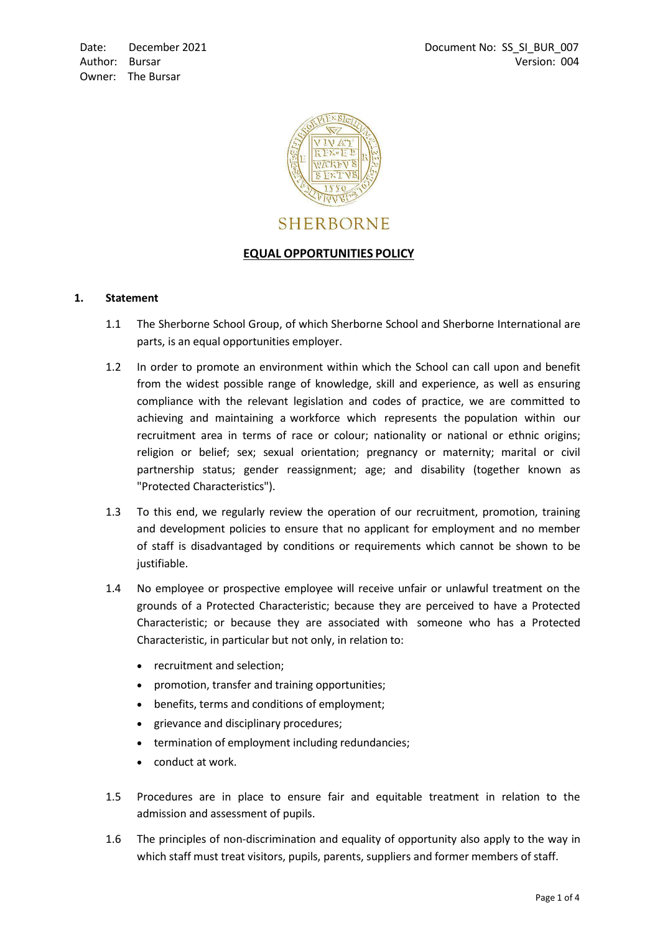

# **SHERBORNE**

# **EQUAL OPPORTUNITIES POLICY**

# **1. Statement**

- 1.1 The Sherborne School Group, of which Sherborne School and Sherborne International are parts, is an equal opportunities employer.
- 1.2 In order to promote an environment within which the School can call upon and benefit from the widest possible range of knowledge, skill and experience, as well as ensuring compliance with the relevant legislation and codes of practice, we are committed to achieving and maintaining a workforce which represents the population within our recruitment area in terms of race or colour; nationality or national or ethnic origins; religion or belief; sex; sexual orientation; pregnancy or maternity; marital or civil partnership status; gender reassignment; age; and disability (together known as "Protected Characteristics").
- 1.3 To this end, we regularly review the operation of our recruitment, promotion, training and development policies to ensure that no applicant for employment and no member of staff is disadvantaged by conditions or requirements which cannot be shown to be justifiable.
- 1.4 No employee or prospective employee will receive unfair or unlawful treatment on the grounds of a Protected Characteristic; because they are perceived to have a Protected Characteristic; or because they are associated with someone who has a Protected Characteristic, in particular but not only, in relation to:
	- recruitment and selection;
	- promotion, transfer and training opportunities;
	- benefits, terms and conditions of employment;
	- grievance and disciplinary procedures;
	- termination of employment including redundancies;
	- conduct at work.
- 1.5 Procedures are in place to ensure fair and equitable treatment in relation to the admission and assessment of pupils.
- 1.6 The principles of non-discrimination and equality of opportunity also apply to the way in which staff must treat visitors, pupils, parents, suppliers and former members of staff.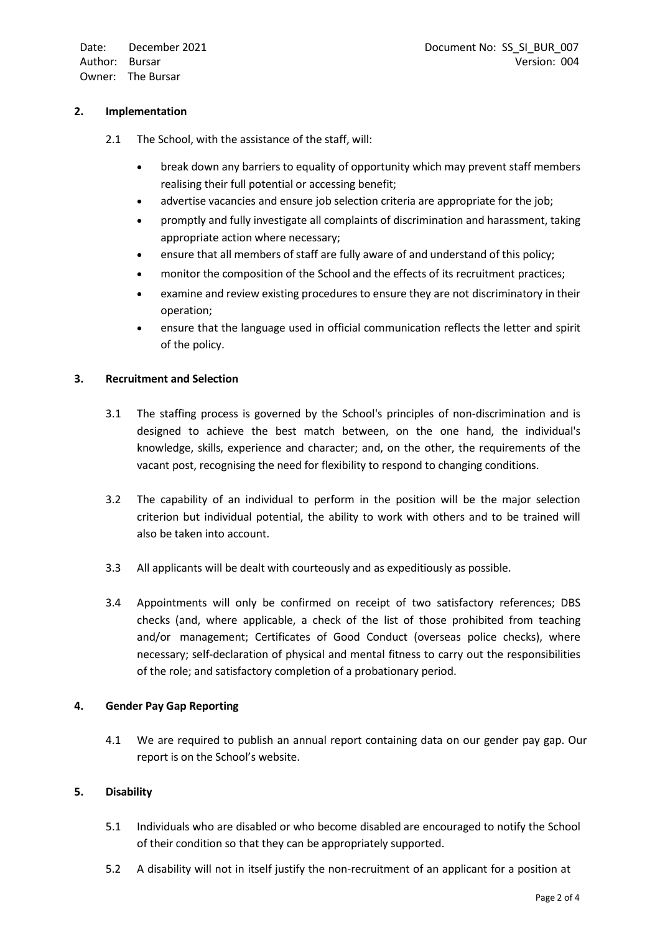Date: Author: Bursar Owner: The Bursar December 2021

#### **2. Implementation**

- 2.1 The School, with the assistance of the staff, will:
	- break down any barriers to equality of opportunity which may prevent staff members realising their full potential or accessing benefit;
	- advertise vacancies and ensure job selection criteria are appropriate for the job;
	- promptly and fully investigate all complaints of discrimination and harassment, taking appropriate action where necessary;
	- ensure that all members of staff are fully aware of and understand of this policy;
	- monitor the composition of the School and the effects of its recruitment practices;
	- examine and review existing procedures to ensure they are not discriminatory in their operation;
	- ensure that the language used in official communication reflects the letter and spirit of the policy.

#### **3. Recruitment and Selection**

- 3.1 The staffing process is governed by the School's principles of non-discrimination and is designed to achieve the best match between, on the one hand, the individual's knowledge, skills, experience and character; and, on the other, the requirements of the vacant post, recognising the need for flexibility to respond to changing conditions.
- 3.2 The capability of an individual to perform in the position will be the major selection criterion but individual potential, the ability to work with others and to be trained will also be taken into account.
- 3.3 All applicants will be dealt with courteously and as expeditiously as possible.
- 3.4 Appointments will only be confirmed on receipt of two satisfactory references; DBS checks (and, where applicable, a check of the list of those prohibited from teaching and/or management; Certificates of Good Conduct (overseas police checks), where necessary; self-declaration of physical and mental fitness to carry out the responsibilities of the role; and satisfactory completion of a probationary period.

# **4. Gender Pay Gap Reporting**

4.1 We are required to publish an annual report containing data on our gender pay gap. Our report is on the School's website.

# **5. Disability**

- 5.1 Individuals who are disabled or who become disabled are encouraged to notify the School of their condition so that they can be appropriately supported.
- 5.2 A disability will not in itself justify the non-recruitment of an applicant for a position at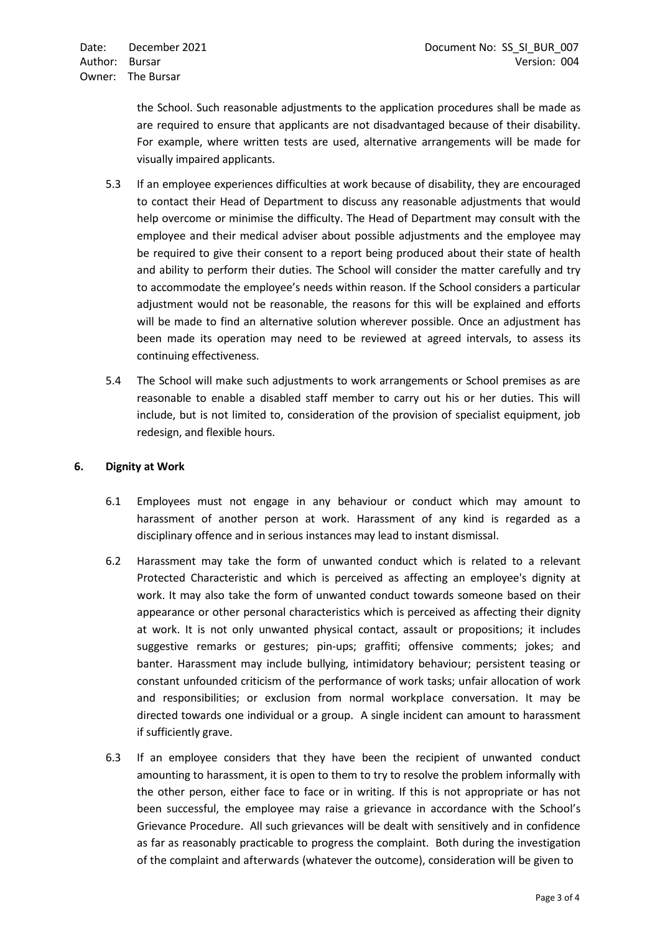the School. Such reasonable adjustments to the application procedures shall be made as are required to ensure that applicants are not disadvantaged because of their disability. For example, where written tests are used, alternative arrangements will be made for visually impaired applicants.

- 5.3 If an employee experiences difficulties at work because of disability, they are encouraged to contact their Head of Department to discuss any reasonable adjustments that would help overcome or minimise the difficulty. The Head of Department may consult with the employee and their medical adviser about possible adjustments and the employee may be required to give their consent to a report being produced about their state of health and ability to perform their duties. The School will consider the matter carefully and try to accommodate the employee's needs within reason. If the School considers a particular adjustment would not be reasonable, the reasons for this will be explained and efforts will be made to find an alternative solution wherever possible. Once an adjustment has been made its operation may need to be reviewed at agreed intervals, to assess its continuing effectiveness.
- 5.4 The School will make such adjustments to work arrangements or School premises as are reasonable to enable a disabled staff member to carry out his or her duties. This will include, but is not limited to, consideration of the provision of specialist equipment, job redesign, and flexible hours.

# **6. Dignity at Work**

- 6.1 Employees must not engage in any behaviour or conduct which may amount to harassment of another person at work. Harassment of any kind is regarded as a disciplinary offence and in serious instances may lead to instant dismissal.
- 6.2 Harassment may take the form of unwanted conduct which is related to a relevant Protected Characteristic and which is perceived as affecting an employee's dignity at work. It may also take the form of unwanted conduct towards someone based on their appearance or other personal characteristics which is perceived as affecting their dignity at work. It is not only unwanted physical contact, assault or propositions; it includes suggestive remarks or gestures; pin-ups; graffiti; offensive comments; jokes; and banter. Harassment may include bullying, intimidatory behaviour; persistent teasing or constant unfounded criticism of the performance of work tasks; unfair allocation of work and responsibilities; or exclusion from normal workplace conversation. It may be directed towards one individual or a group. A single incident can amount to harassment if sufficiently grave.
- 6.3 If an employee considers that they have been the recipient of unwanted conduct amounting to harassment, it is open to them to try to resolve the problem informally with the other person, either face to face or in writing. If this is not appropriate or has not been successful, the employee may raise a grievance in accordance with the School's Grievance Procedure. All such grievances will be dealt with sensitively and in confidence as far as reasonably practicable to progress the complaint. Both during the investigation of the complaint and afterwards (whatever the outcome), consideration will be given to